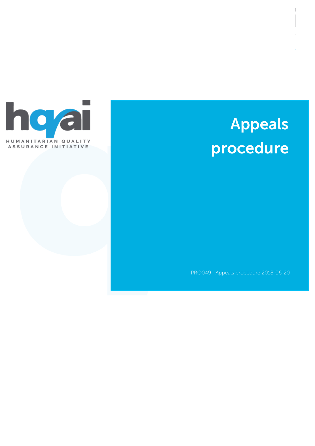

# Appeals procedure

PRO049– Appeals procedure 2018-06-20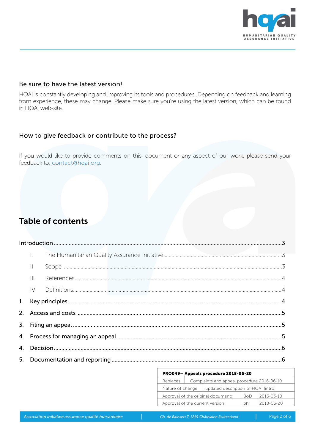

#### Be sure to have the latest version!

HQAI is constantly developing and improving its tools and procedures. Depending on feedback and learning from experience, these may change. Please make sure you're using the latest version, which can be found in HQAI web-site.

#### How to give feedback or contribute to the process?

If you would like to provide comments on this, document or any aspect of our work, please send your feedback to: [contact@hqai.org](mailto:contact@hqai.org).

# Table of contents

| $\mathbf{  }$ |  |  |  |  |  |
|---------------|--|--|--|--|--|
| $\  \cdot \ $ |  |  |  |  |  |
| $\mathsf{IV}$ |  |  |  |  |  |
|               |  |  |  |  |  |
|               |  |  |  |  |  |
|               |  |  |  |  |  |
|               |  |  |  |  |  |
|               |  |  |  |  |  |
|               |  |  |  |  |  |

| PRO049- Appeals procedure 2018-06-20                           |  |                                     |            |  |  |  |  |  |
|----------------------------------------------------------------|--|-------------------------------------|------------|--|--|--|--|--|
| Complaints and appeal procedure 2016-06-10<br>Replaces         |  |                                     |            |  |  |  |  |  |
| Nature of change                                               |  | updated description of HQAI (intro) |            |  |  |  |  |  |
| Approval of the original document:<br>2016-03-10<br><b>BoD</b> |  |                                     |            |  |  |  |  |  |
| Approval of the current version:                               |  | рh                                  | 2018-06-20 |  |  |  |  |  |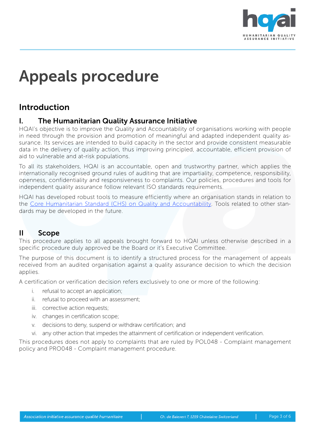

# Appeals procedure

# <span id="page-2-0"></span>Introduction

#### <span id="page-2-1"></span>I. The Humanitarian Quality Assurance Initiative

HQAI's objective is to improve the Quality and Accountability of organisations working with people in need through the provision and promotion of meaningful and adapted independent quality assurance. Its services are intended to build capacity in the sector and provide consistent measurable data in the delivery of quality action, thus improving principled, accountable, efficient provision of aid to vulnerable and at-risk populations.

To all its stakeholders, HQAI is an accountable, open and trustworthy partner, which applies the internationally recognised ground rules of auditing that are impartiality, competence, responsibility, openness, confidentiality and responsiveness to complaints. Our policies, procedures and tools for independent quality assurance follow relevant ISO standards requirements.

HQAI has developed robust tools to measure efficiently where an organisation stands in relation to the [Core Humanitarian Standard \(CHS\) on Quality and Accountability.](http://www.corehumanitarianstandard.org/) Tools related to other standards may be developed in the future.

#### <span id="page-2-2"></span>II Scope

This procedure applies to all appeals brought forward to HQAI unless otherwise described in a specific procedure duly approved be the Board or it's Executive Committee.

The purpose of this document is to identify a structured process for the management of appeals received from an audited organisation against a quality assurance decision to which the decision applies.

A certification or verification decision refers exclusively to one or more of the following:

- i. refusal to accept an application;
- ii. refusal to proceed with an assessment;
- iii. corrective action requests;
- iv. changes in certification scope;
- v. decisions to deny, suspend or withdraw certification; and
- vi. any other action that impedes the attainment of certification or independent verification.

This procedures does not apply to complaints that are ruled by POL048 - Complaint management policy and PRO048 - Complaint management procedure.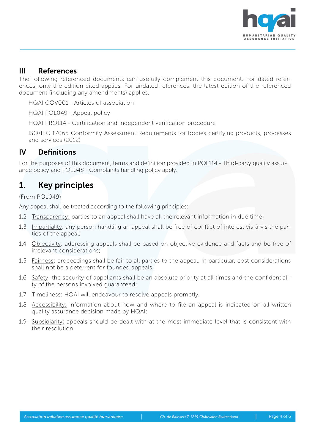

#### <span id="page-3-0"></span>III References

The following referenced documents can usefully complement this document. For dated references, only the edition cited applies. For undated references, the latest edition of the referenced document (including any amendments) applies.

HQAI GOV001 - Articles of association

HQAI POL049 - Appeal policy

HQAI PRO114 - Certification and independent verification procedure

ISO/IEC 17065 Conformity Assessment Requirements for bodies certifying products, processes and services (2012)

#### <span id="page-3-1"></span>IV Definitions

For the purposes of this document, terms and definition provided in POL114 - Third-party quality assurance policy and POL048 - Complaints handling policy apply.

# <span id="page-3-2"></span>1. Key principles

(From POL049)

Any appeal shall be treated according to the following principles:

- 1.2 Transparency: parties to an appeal shall have all the relevant information in due time;
- 1.3 Impartiality: any person handling an appeal shall be free of conflict of interest vis-à-vis the parties of the appeal;
- 1.4 Objectivity: addressing appeals shall be based on objective evidence and facts and be free of irrelevant considerations;
- 1.5 Fairness: proceedings shall be fair to all parties to the appeal. In particular, cost considerations shall not be a deterrent for founded appeals;
- 1.6 Safety: the security of appellants shall be an absolute priority at all times and the confidentiality of the persons involved guaranteed;
- 1.7 Timeliness: HQAI will endeavour to resolve appeals promptly.
- 1.8 Accessibility: information about how and where to file an appeal is indicated on all written quality assurance decision made by HQAI;
- 1.9 Subsidiarity: appeals should be dealt with at the most immediate level that is consistent with their resolution.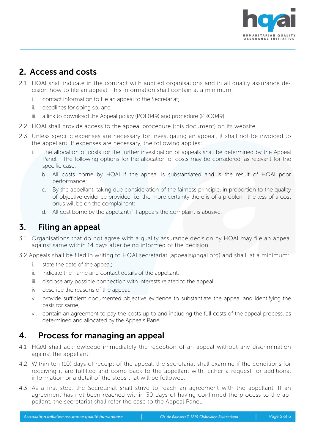

# <span id="page-4-0"></span>2. Access and costs

- 2.1 HQAI shall indicate in the contract with audited organisations and in all quality assurance decision how to file an appeal. This information shall contain at a minimum:
	- i. contact information to file an appeal to the Secretariat;
	- ii. deadlines for doing so; and
	- iii. a link to download the Appeal policy (POL049) and procedure (PRO049)
- 2.2 HQAI shall provide access to the appeal procedure (this document) on its website.
- 2.3 Unless specific expenses are necessary for investigating an appeal, it shall not be invoiced to the appellant. If expenses are necessary, the following applies:
	- i. The allocation of costs for the further investigation of appeals shall be determined by the Appeal Panel. The following options for the allocation of costs may be considered, as relevant for the specific case:
		- b. All costs borne by HQAI if the appeal is substantiated and is the result of HQAI poor performance;
		- c. By the appellant, taking due consideration of the fairness principle, in proportion to the quality of objective evidence provided, i.e. the more certainty there is of a problem, the less of a cost onus will be on the complainant;
		- d. All cost borne by the appellant if it appears the complaint is abusive.

## <span id="page-4-1"></span>3. Filing an appeal

- 3.1 Organisations that do not agree with a quality assurance decision by HQAI may file an appeal against same within 14 days after being informed of the decision.
- 3.2 Appeals shall be filed in writing to HQAI secretariat (appeals@hqai.org) and shall, at a minimum:
	- i. state the date of the appeal;
	- ii. indicate the name and contact details of the appellant;
	- iii. disclose any possible connection with interests related to the appeal;
	- iv. describe the reasons of the appeal;
	- v. provide sufficient documented objective evidence to substantiate the appeal and identifying the basis for same;
	- vi. contain an agreement to pay the costs up to and including the full costs of the appeal process, as determined and allocated by the Appeals Panel.

# <span id="page-4-2"></span>4. Process for managing an appeal

- 4.1 HQAI shall acknowledge immediately the reception of an appeal without any discrimination against the appellant;
- 4.2 Within ten (10) days of receipt of the appeal, the secretariat shall examine if the conditions for receiving it are fulfilled and come back to the appellant with, either a request for additional information or a detail of the steps that will be followed.
- 4.3 As a first step, the Secretariat shall strive to reach an agreement with the appellant. If an agreement has not been reached within 30 days of having confirmed the process to the appellant, the secretariat shall refer the case to the Appeal Panel.